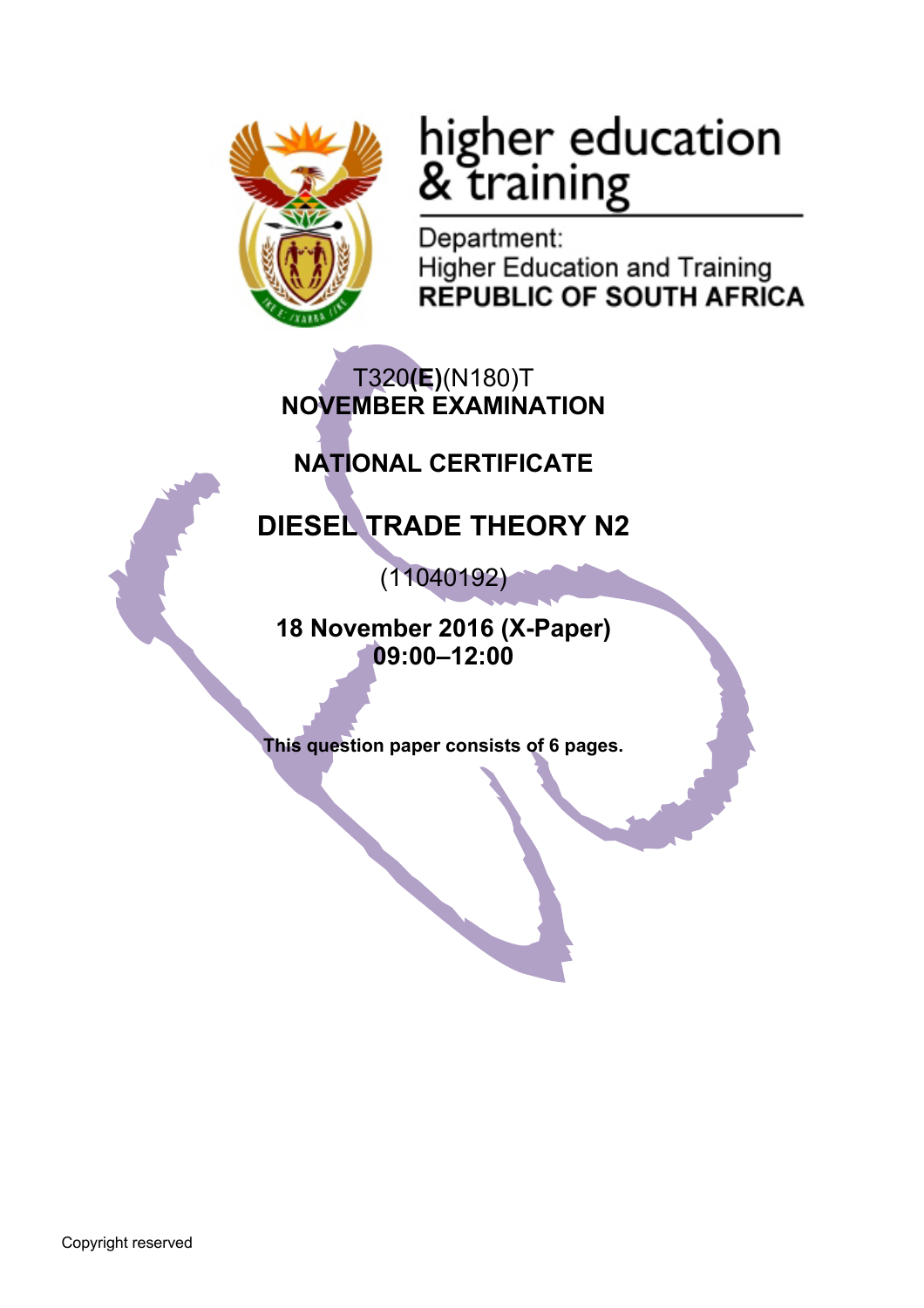

# higher education<br>& training

Department: **Higher Education and Training REPUBLIC OF SOUTH AFRICA** 

T320**(E)**(N180)T **NOVEMBER EXAMINATION**

**NATIONAL CERTIFICATE**

## **DIESEL TRADE THEORY N2**

(11040192)

**18 November 2016 (X-Paper) 09:00–12:00**

**This question paper consists of 6 pages.**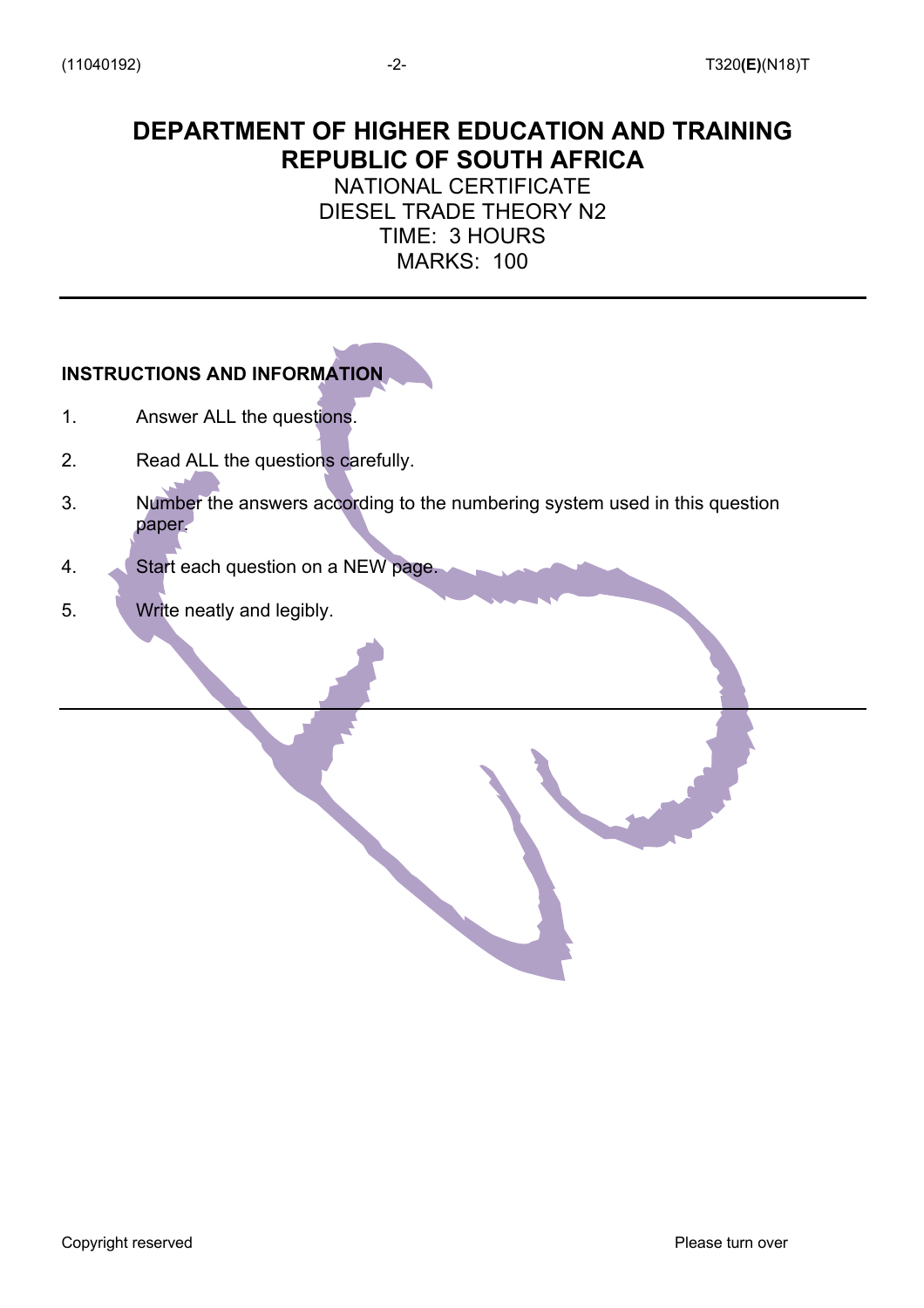## **DEPARTMENT OF HIGHER EDUCATION AND TRAINING REPUBLIC OF SOUTH AFRICA**

NATIONAL CERTIFICATE DIESEL TRADE THEORY N2 TIME: 3 HOURS MARKS: 100

#### **INSTRUCTIONS AND INFORMATION**

- 1. Answer ALL the questions.
- 2. Read ALL the questions carefully.
- 3. Number the answers according to the numbering system used in this question paper.
- 4. Start each question on a NEW page.
- 5. Write neatly and legibly.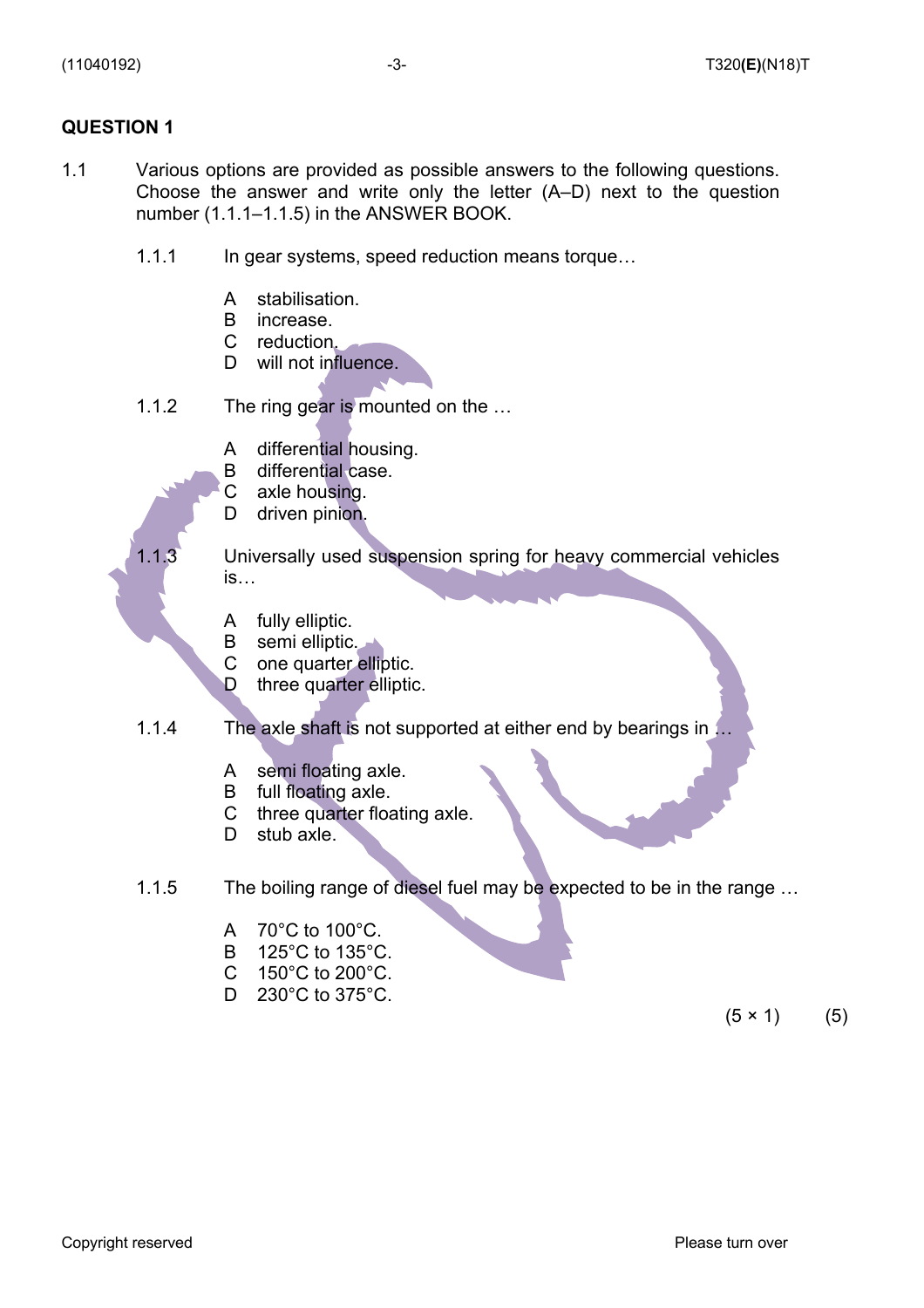#### **QUESTION 1**

- 1.1 Various options are provided as possible answers to the following questions. Choose the answer and write only the letter (A–D) next to the question number (1.1.1–1.1.5) in the ANSWER BOOK.
	- 1.1.1 In gear systems, speed reduction means torque...
		- A stabilisation.
		- B increase.
		- C reduction.
		- D will not influence.
	- 1.1.2 The ring gear is mounted on the ...
		- A differential housing.
		- B differential case.
		- C axle housing.
		- D driven pinion.

1.1.3 Universally used suspension spring for heavy commercial vehicles is…

- A fully elliptic.
- B semi elliptic.
- C one quarter elliptic.
- D three quarter elliptic.
- 1.1.4 The axle shaft is not supported at either end by bearings in ...
	- A semi floating axle.
	- B full floating axle.
	- C three quarter floating axle.
	- D stub axle.
- 1.1.5 The boiling range of diesel fuel may be expected to be in the range …
	- A 70°C to 100°C.
	- B 125°C to 135°C.
	- C 150°C to 200°C.
	- D 230°C to 375°C.

 $(5 \times 1)$  (5)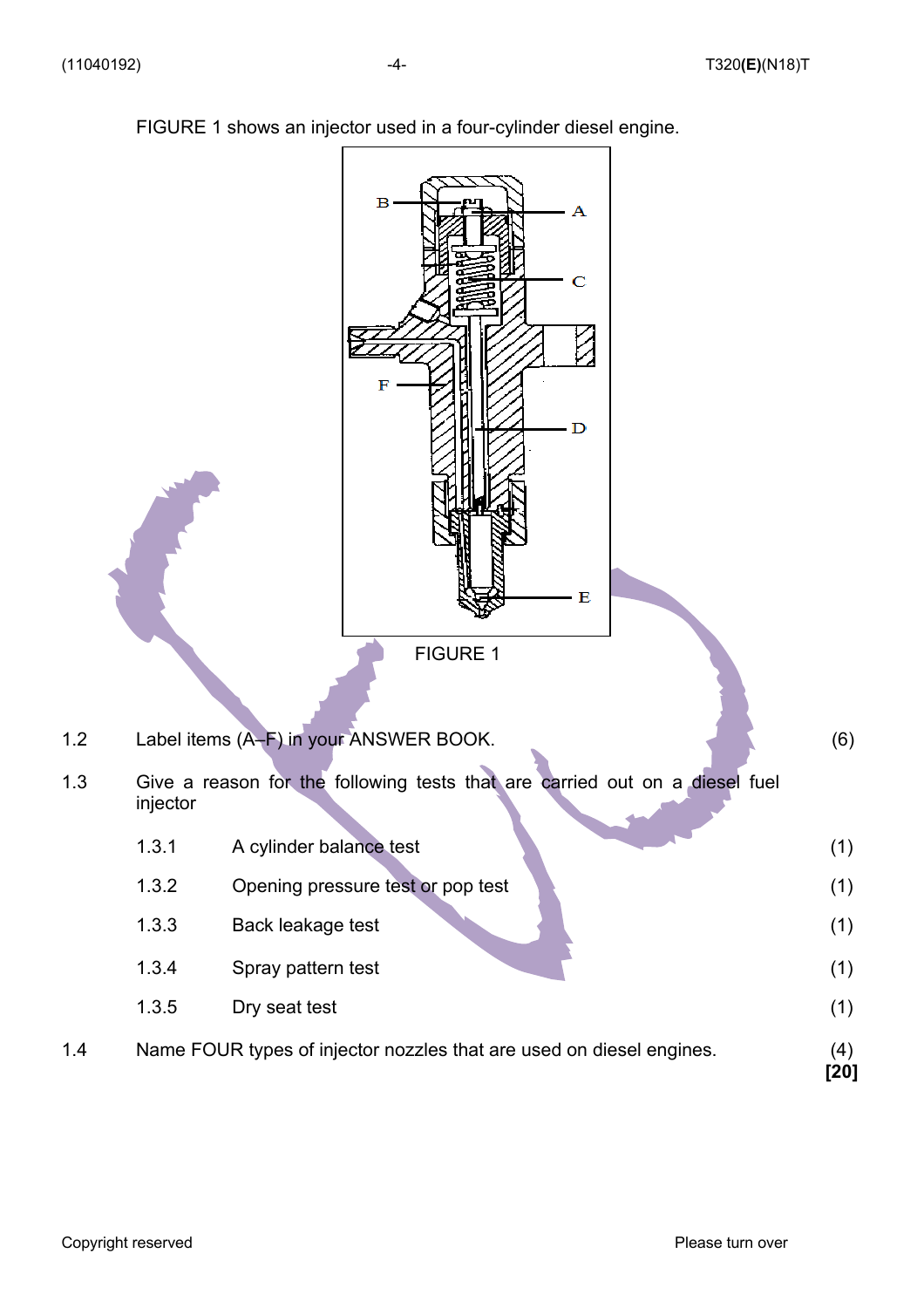$\overline{B}$  $\Delta$  $\mathbf C$ F D Е FIGURE 1 1.2 Label items (A–F) in your ANSWER BOOK. (6) 1.3 Give a reason for the following tests that are carried out on a diesel fuel injector 1.3.1 A cylinder balance test (1) 1.3.2 Opening pressure test or pop test (1) (1) 1.3.3 Back leakage test (1) 1.3.4 Spray pattern test (1) 1.3.5 Dry seat test (1) 1.4 Name FOUR types of injector nozzles that are used on diesel engines. (4) **[20]**

FIGURE 1 shows an injector used in a four-cylinder diesel engine.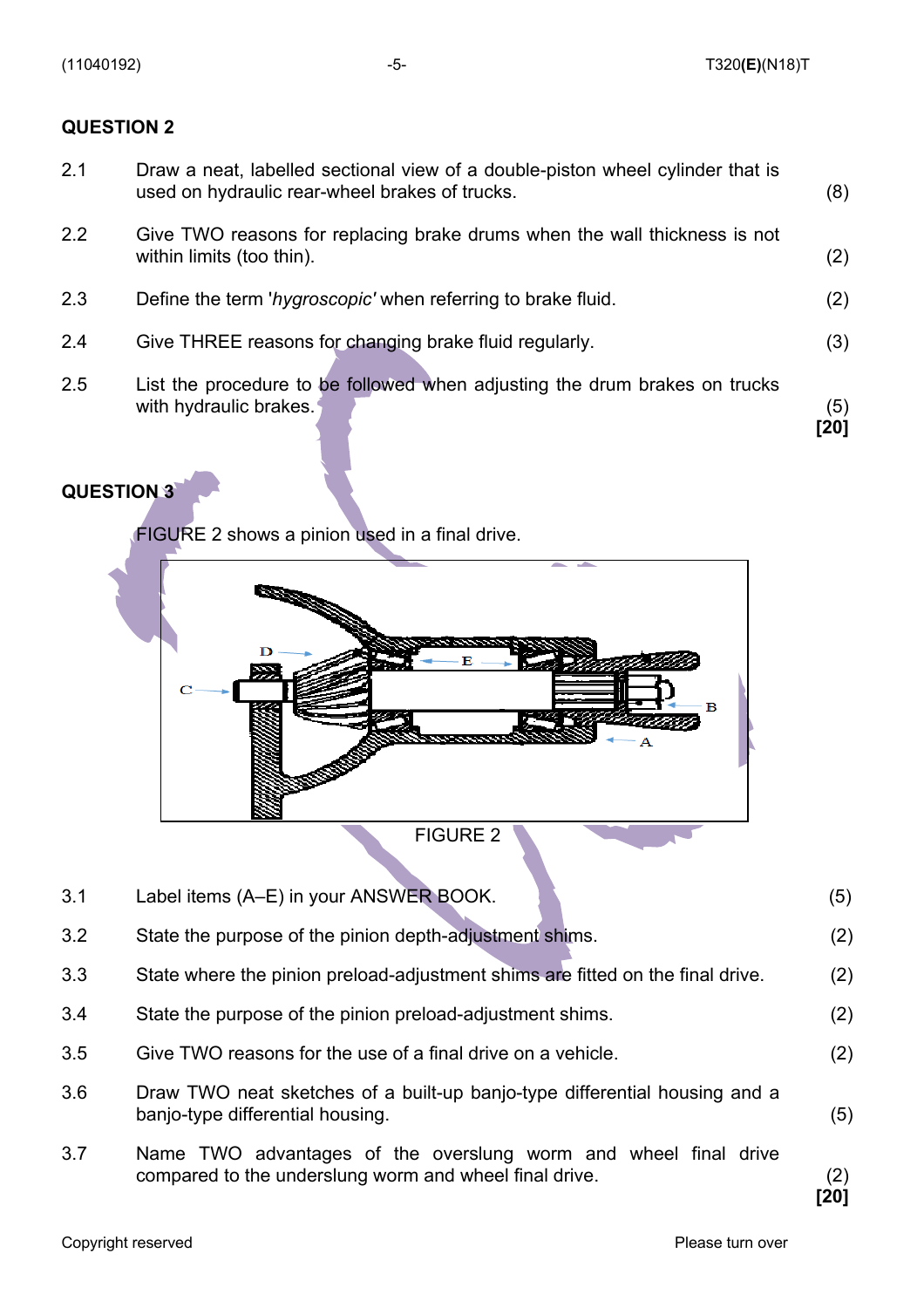#### **QUESTION 2**

|     | with hydraulic brakes.                                                                                                           | (5)<br>[20] |
|-----|----------------------------------------------------------------------------------------------------------------------------------|-------------|
| 2.5 | List the procedure to be followed when adjusting the drum brakes on trucks                                                       |             |
| 2.4 | Give THREE reasons for changing brake fluid regularly.                                                                           | (3)         |
| 2.3 | Define the term 'hygroscopic' when referring to brake fluid.                                                                     | (2)         |
| 2.2 | Give TWO reasons for replacing brake drums when the wall thickness is not<br>within limits (too thin).                           |             |
| 2.1 | Draw a neat, labelled sectional view of a double-piston wheel cylinder that is<br>used on hydraulic rear-wheel brakes of trucks. | (8)         |

### **QUESTION 3**

FIGURE 2 shows a pinion used in a final drive.



| 3.1 | Label items (A-E) in your ANSWER BOOK.                                                                                    | (5)         |
|-----|---------------------------------------------------------------------------------------------------------------------------|-------------|
| 3.2 | State the purpose of the pinion depth-adjustment shims.                                                                   | (2)         |
| 3.3 | State where the pinion preload-adjustment shims are fitted on the final drive.                                            | (2)         |
| 3.4 | State the purpose of the pinion preload-adjustment shims.                                                                 | (2)         |
| 3.5 | Give TWO reasons for the use of a final drive on a vehicle.                                                               | (2)         |
| 3.6 | Draw TWO neat sketches of a built-up banjo-type differential housing and a<br>banjo-type differential housing.            | (5)         |
| 3.7 | Name TWO advantages of the overslung worm and wheel final drive<br>compared to the underslung worm and wheel final drive. | (2)<br>[20] |